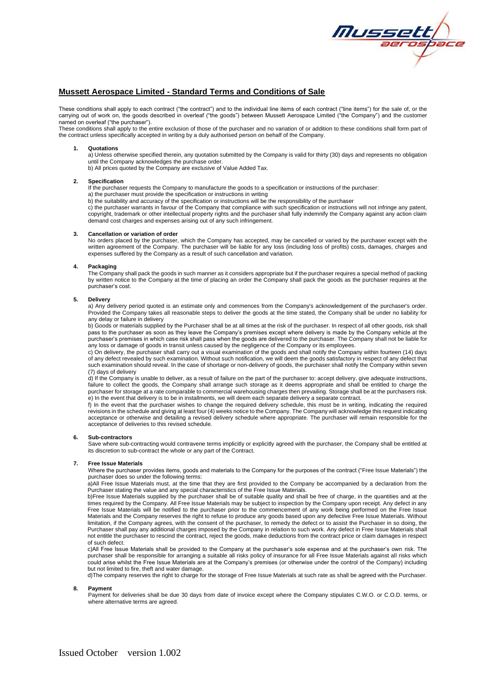

# **Mussett Aerospace Limited - Standard Terms and Conditions of Sale**

These conditions shall apply to each contract ("the contract") and to the individual line items of each contract ("line items") for the sale of, or the carrying out of work on, the goods described in overleaf ("the goods") between Mussett Aerospace Limited ("the Company") and the customer named on overleaf ("the purchaser").

These conditions shall apply to the entire exclusion of those of the purchaser and no variation of or addition to these conditions shall form part of the contract unless specifically accepted in writing by a duly authorised person on behalf of the Company.

### **1. Quotations**

a) Unless otherwise specified therein, any quotation submitted by the Company is valid for thirty (30) days and represents no obligation until the Company acknowledges the purchase order.

b) All prices quoted by the Company are exclusive of Value Added Tax.

### **2. Specification**

If the purchaser requests the Company to manufacture the goods to a specification or instructions of the purchaser: a) the purchaser must provide the specification or instructions in writing

b) the suitability and accuracy of the specification or instructions will be the responsibility of the purchaser

c) the purchaser warrants in favour of the Company that compliance with such specification or instructions will not infringe any patent, copyright, trademark or other intellectual property rights and the purchaser shall fully indemnify the Company against any action claim demand cost charges and expenses arising out of any such infringement.

### **3. Cancellation or variation of order**

No orders placed by the purchaser, which the Company has accepted, may be cancelled or varied by the purchaser except with the written agreement of the Company. The purchaser will be liable for any loss (including loss of profits) costs, damages, charges and expenses suffered by the Company as a result of such cancellation and variation.

### **4. Packaging**

The Company shall pack the goods in such manner as it considers appropriate but if the purchaser requires a special method of packing by written notice to the Company at the time of placing an order the Company shall pack the goods as the purchaser requires at the purchaser's cost.

### **5. Delivery**

a) Any delivery period quoted is an estimate only and commences from the Company's acknowledgement of the purchaser's order. Provided the Company takes all reasonable steps to deliver the goods at the time stated, the Company shall be under no liability for any delay or failure in delivery

b) Goods or materials supplied by the Purchaser shall be at all times at the risk of the purchaser. In respect of all other goods, risk shall pass to the purchaser as soon as they leave the Company's premises except where delivery is made by the Company vehicle at the purchaser's premises in which case risk shall pass when the goods are delivered to the purchaser. The Company shall not be liable for any loss or damage of goods in transit unless caused by the negligence of the Company or its employees.

c) On delivery, the purchaser shall carry out a visual examination of the goods and shall notify the Company within fourteen (14) days of any defect revealed by such examination. Without such notification, we will deem the goods satisfactory in respect of any defect that such examination should reveal. In the case of shortage or non-delivery of goods, the purchaser shall notify the Company within seven (7) days of delivery

(t) If the Company is unable to deliver, as a result of failure on the part of the purchaser to: accept delivery, give adequate instructions, failure to collect the goods, the Company shall arrange such storage as it deems appropriate and shall be entitled to charge the purchaser for storage at a rate comparable to commercial warehousing charges then prevailing. Storage shall be at the purchasers risk. e) In the event that delivery is to be in installments, we will deem each separate delivery a separate contract.

f) In the event that the purchaser wishes to change the required delivery schedule, this must be in writing, indicating the required revisions in the schedule and giving at least four (4) weeks notice to the Company. The Company will acknowledge this request indicating acceptance or otherwise and detailing a revised delivery schedule where appropriate. The purchaser will remain responsible for the acceptance of deliveries to this revised schedule.

#### **6. Sub-contractors**

Save where sub-contracting would contravene terms implicitly or explicitly agreed with the purchaser, the Company shall be entitled at its discretion to sub-contract the whole or any part of the Contract.

#### **7. Free Issue Materials**

Where the purchaser provides items, goods and materials to the Company for the purposes of the contract ("Free Issue Materials") the purchaser does so under the following terms:

a)All Free Issue Materials must, at the time that they are first provided to the Company be accompanied by a declaration from the Purchaser stating the value and any special characteristics of the Free Issue Materials

b)Free Issue Materials supplied by the purchaser shall be of suitable quality and shall be free of charge, in the quantities and at the times required by the Company. All Free Issue Materials may be subject to inspection by the Company upon receipt. Any defect in any Free Issue Materials will be notified to the purchaser prior to the commencement of any work being performed on the Free Issue Materials and the Company reserves the right to refuse to produce any goods based upon any defective Free Issue Materials. Without limitation, if the Company agrees, with the consent of the purchaser, to remedy the defect or to assist the Purchaser in so doing, the Purchaser shall pay any additional charges imposed by the Company in relation to such work. Any defect in Free Issue Materials shall not entitle the purchaser to rescind the contract, reject the goods, make deductions from the contract price or claim damages in respect of such defect.

c)All Free Issue Materials shall be provided to the Company at the purchaser's sole expense and at the purchaser's own risk. The purchaser shall be responsible for arranging a suitable all risks policy of insurance for all Free Issue Materials against all risks which could arise whilst the Free Issue Materials are at the Company's premises (or otherwise under the control of the Company) including but not limited to fire, theft and water damage.

d)The company reserves the right to charge for the storage of Free Issue Materials at such rate as shall be agreed with the Purchaser.

**8. Payment**

Payment for deliveries shall be due 30 days from date of invoice except where the Company stipulates C.W.O. or C.O.D. terms, or where alternative terms are agreed.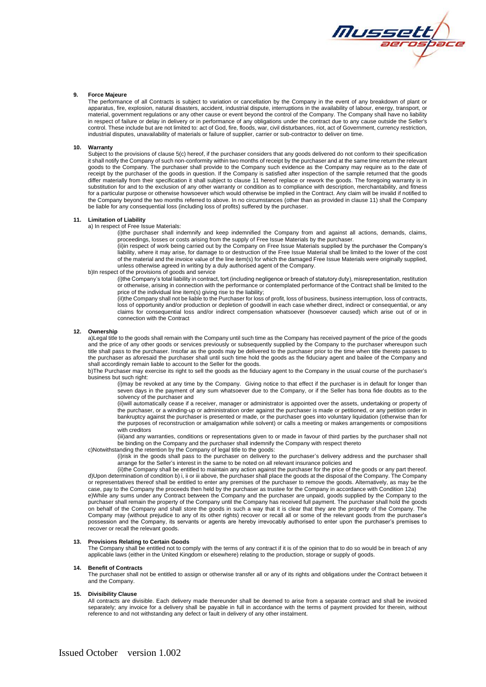

### **9. Force Majeure**

The performance of all Contracts is subject to variation or cancellation by the Company in the event of any breakdown of plant or apparatus, fire, explosion, natural disasters, accident, industrial dispute, interruptions in the availability of labour, energy, transport, or material, government regulations or any other cause or event beyond the control of the Company. The Company shall have no liability in respect of failure or delay in delivery or in performance of any obligations under the contract due to any cause outside the Seller's control. These include but are not limited to: act of God, fire, floods, war, civil disturbances, riot, act of Government, currency restriction, industrial disputes, unavailability of materials or failure of supplier, carrier or sub-contractor to deliver on time.

# **10. Warranty**

Subject to the provisions of clause 5(c) hereof, if the purchaser considers that any goods delivered do not conform to their specification it shall notify the Company of such non-conformity within two months of receipt by the purchaser and at the same time return the relevant goods to the Company. The purchaser shall provide to the Company such evidence as the Company may require as to the date of receipt by the purchaser of the goods in question. If the Company is satisfied after inspection of the sample returned that the goods differ materially from their specification it shall subject to clause 11 hereof replace or rework the goods. The foregoing warranty is in substitution for and to the exclusion of any other warranty or condition as to compliance with description, merchantability, and fitness for a particular purpose or otherwise howsoever which would otherwise be implied in the Contract. Any claim will be invalid if notified to the Company beyond the two months referred to above. In no circumstances (other than as provided in clause 11) shall the Company be liable for any consequential loss (including loss of profits) suffered by the purchaser.

### **11. Limitation of Liability**

a) In respect of Free Issue Materials:

(i)the purchaser shall indemnify and keep indemnified the Company from and against all actions, demands, claims, proceedings, losses or costs arising from the supply of Free Issue Materials by the purchaser.

(ii)in respect of work being carried out by the Company on Free Issue Materials supplied by the purchaser the Company's liability, where it may arise, for damage to or destruction of the Free Issue Material shall be limited to the lower of the cost of the material and the invoice value of the line item(s) for which the damaged Free Issue Materials were originally supplied, unless otherwise agreed in writing by a duly authorised agent of the Company.

# b)In respect of the provisions of goods and service

(i)the Company's total liability in contract, tort (including negligence or breach of statutory duty), misrepresentation, restitution or otherwise, arising in connection with the performance or contemplated performance of the Contract shall be limited to the price of the individual line item(s) giving rise to the liability;

(iI)the Company shall not be liable to the Purchaser for loss of profit, loss of business, business interruption, loss of contracts, loss of opportunity and/or production or depletion of goodwill in each case whether direct, indirect or consequential, or any claims for consequential loss and/or indirect compensation whatsoever (howsoever caused) which arise out of or in connection with the Contract

#### **12. Ownership**

a)Legal title to the goods shall remain with the Company until such time as the Company has received payment of the price of the goods and the price of any other goods or services previously or subsequently supplied by the Company to the purchaser whereupon such title shall pass to the purchaser. Insofar as the goods may be delivered to the purchaser prior to the time when title thereto passes to the purchaser as aforesaid the purchaser shall until such time hold the goods as the fiduciary agent and bailee of the Company and shall accordingly remain liable to account to the Seller for the goods.

b)The Purchaser may exercise its right to sell the goods as the fiduciary agent to the Company in the usual course of the purchaser's business but such right:

(i)may be revoked at any time by the Company. Giving notice to that effect if the purchaser is in default for longer than seven days in the payment of any sum whatsoever due to the Company, or if the Seller has bona fide doubts as to the solvency of the purchaser and

(ii)will automatically cease if a receiver, manager or administrator is appointed over the assets, undertaking or property of the purchaser, or a winding-up or administration order against the purchaser is made or petitioned, or any petition order in bankruptcy against the purchaser is presented or made, or the purchaser goes into voluntary liquidation (otherwise than for the purposes of reconstruction or amalgamation while solvent) or calls a meeting or makes arrangements or compositions with creditors

(iii)and any warranties, conditions or representations given to or made in favour of third parties by the purchaser shall not be binding on the Company and the purchaser shall indemnify the Company with respect thereto

c)Notwithstanding the retention by the Company of legal title to the goods: (i)risk in the goods shall pass to the purchaser on delivery to the purchaser's delivery address and the purchaser shall

arrange for the Seller's interest in the same to be noted on all relevant insurance policies and (ii)the Company shall be entitled to maintain any action against the purchaser for the price of the goods or any part thereof.

d)Upon determination of condition b) i, ii or iii above, the purchaser shall place the goods at the disposal of the Company. The Company or representatives thereof shall be entitled to enter any premises of the purchaser to remove the goods. Alternatively, as may be the case, pay to the Company the proceeds then held by the purchaser as trustee for the Company in accordance with Condition 12a) e)While any sums under any Contract between the Company and the purchaser are unpaid, goods supplied by the Company to the

purchaser shall remain the property of the Company until the Company has received full payment. The purchaser shall hold the goods on behalf of the Company and shall store the goods in such a way that it is clear that they are the property of the Company. The Company may (without prejudice to any of its other rights) recover or recall all or some of the relevant goods from the purchaser's possession and the Company, its servants or agents are hereby irrevocably authorised to enter upon the purchaser's premises to recover or recall the relevant goods.

#### **13. Provisions Relating to Certain Goods**

The Company shall be entitled not to comply with the terms of any contract if it is of the opinion that to do so would be in breach of any applicable laws (either in the United Kingdom or elsewhere) relating to the production, storage or supply of goods.

# **14. Benefit of Contracts**

The purchaser shall not be entitled to assign or otherwise transfer all or any of its rights and obligations under the Contract between it and the Company.

### **15. Divisibility Clause**

All contracts are divisible. Each delivery made thereunder shall be deemed to arise from a separate contract and shall be invoiced separately; any invoice for a delivery shall be payable in full in accordance with the terms of payment provided for therein, without reference to and not withstanding any defect or fault in delivery of any other instalment.